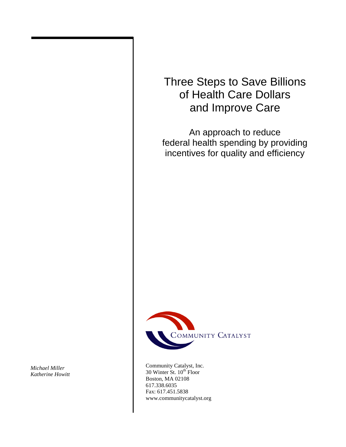# Three Steps to Save Billions of Health Care Dollars and Improve Care

An approach to reduce federal health spending by providing incentives for quality and efficiency



Community Catalyst, Inc.  $30$  Winter St.  $10^{th}$  Floor Boston, MA 02108 617.338.6035 Fax: 617.451.5838 www.communitycatalyst.org

*Michael Miller Katherine Howitt*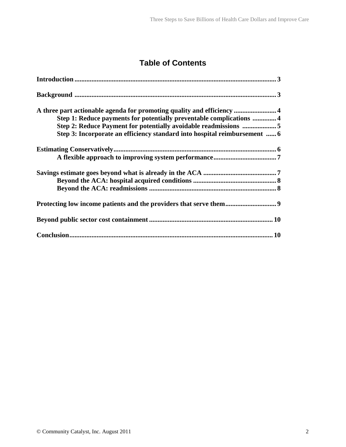# **Table of Contents**

| A three part actionable agenda for promoting quality and efficiency  4    |
|---------------------------------------------------------------------------|
| Step 1: Reduce payments for potentially preventable complications  4      |
|                                                                           |
| Step 3: Incorporate an efficiency standard into hospital reimbursement  6 |
|                                                                           |
|                                                                           |
|                                                                           |
|                                                                           |
|                                                                           |
|                                                                           |
|                                                                           |
|                                                                           |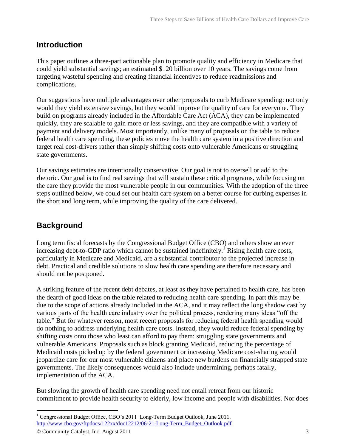### **Introduction**

This paper outlines a three-part actionable plan to promote quality and efficiency in Medicare that could yield substantial savings; an estimated \$120 billion over 10 years. The savings come from targeting wasteful spending and creating financial incentives to reduce readmissions and complications.

Our suggestions have multiple advantages over other proposals to curb Medicare spending: not only would they yield extensive savings, but they would improve the quality of care for everyone. They build on programs already included in the Affordable Care Act (ACA), they can be implemented quickly, they are scalable to gain more or less savings, and they are compatible with a variety of payment and delivery models. Most importantly, unlike many of proposals on the table to reduce federal health care spending, these policies move the health care system in a positive direction and target real cost-drivers rather than simply shifting costs onto vulnerable Americans or struggling state governments.

Our savings estimates are intentionally conservative. Our goal is not to oversell or add to the rhetoric. Our goal is to find real savings that will sustain these critical programs, while focusing on the care they provide the most vulnerable people in our communities. With the adoption of the three steps outlined below, we could set our health care system on a better course for curbing expenses in the short and long term, while improving the quality of the care delivered.

# **Background**

Long term fiscal forecasts by the Congressional Budget Office (CBO) and others show an ever increasing debt-to-GDP ratio which cannot be sustained indefinitely.<sup>1</sup> Rising health care costs, particularly in Medicare and Medicaid, are a substantial contributor to the projected increase in debt. Practical and credible solutions to slow health care spending are therefore necessary and should not be postponed.

A striking feature of the recent debt debates, at least as they have pertained to health care, has been the dearth of good ideas on the table related to reducing health care spending. In part this may be due to the scope of actions already included in the ACA, and it may reflect the long shadow cast by various parts of the health care industry over the political process, rendering many ideas "off the table." But for whatever reason, most recent proposals for reducing federal health spending would do nothing to address underlying health care costs. Instead, they would reduce federal spending by shifting costs onto those who least can afford to pay them: struggling state governments and vulnerable Americans. Proposals such as block granting Medicaid, reducing the percentage of Medicaid costs picked up by the federal government or increasing Medicare cost-sharing would jeopardize care for our most vulnerable citizens and place new burdens on financially strapped state governments. The likely consequences would also include undermining, perhaps fatally, implementation of the ACA.

But slowing the growth of health care spending need not entail retreat from our historic commitment to provide health security to elderly, low income and people with disabilities. Nor does

<sup>&</sup>lt;sup>1</sup> Congressional Budget Office, CBO's 2011 Long-Term Budget Outlook, June 2011. [http://www.cbo.gov/ftpdocs/122xx/doc12212/06-21-Long-Term\\_Budget\\_Outlook.pdf](http://www.cbo.gov/ftpdocs/122xx/doc12212/06-21-Long-Term_Budget_Outlook.pdf)

<sup>©</sup> Community Catalyst, Inc. August 2011 3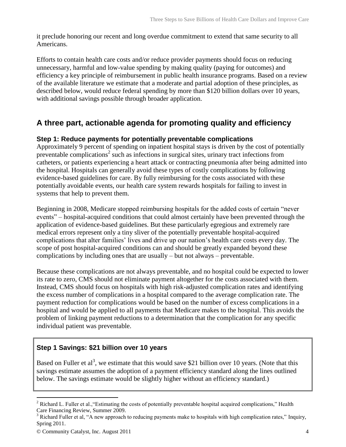it preclude honoring our recent and long overdue commitment to extend that same security to all Americans.

Efforts to contain health care costs and/or reduce provider payments should focus on reducing unnecessary, harmful and low-value spending by making quality (paying for outcomes) and efficiency a key principle of reimbursement in public health insurance programs. Based on a review of the available literature we estimate that a moderate and partial adoption of these principles, as described below, would reduce federal spending by more than \$120 billion dollars over 10 years, with additional savings possible through broader application.

# **A three part, actionable agenda for promoting quality and efficiency**

### **Step 1: Reduce payments for potentially preventable complications**

Approximately 9 percent of spending on inpatient hospital stays is driven by the cost of potentially preventable complications<sup>2</sup> such as infections in surgical sites, urinary tract infections from catheters, or patients experiencing a heart attack or contracting pneumonia after being admitted into the hospital. Hospitals can generally avoid these types of costly complications by following evidence-based guidelines for care. By fully reimbursing for the costs associated with these potentially avoidable events, our health care system rewards hospitals for failing to invest in systems that help to prevent them.

Beginning in 2008, Medicare stopped reimbursing hospitals for the added costs of certain "never events" – hospital-acquired conditions that could almost certainly have been prevented through the application of evidence-based guidelines. But these particularly egregious and extremely rare medical errors represent only a tiny sliver of the potentially preventable hospital-acquired complications that alter families' lives and drive up our nation's health care costs every day. The scope of post hospital-acquired conditions can and should be greatly expanded beyond these complications by including ones that are usually – but not always – preventable.

Because these complications are not always preventable, and no hospital could be expected to lower its rate to zero, CMS should not eliminate payment altogether for the costs associated with them. Instead, CMS should focus on hospitals with high risk-adjusted complication rates and identifying the excess number of complications in a hospital compared to the average complication rate. The payment reduction for complications would be based on the number of excess complications in a hospital and would be applied to all payments that Medicare makes to the hospital. This avoids the problem of linking payment reductions to a determination that the complication for any specific individual patient was preventable.

### **Step 1 Savings: \$21 billion over 10 years**

Based on Fuller et al<sup>3</sup>, we estimate that this would save \$21 billion over 10 years. (Note that this savings estimate assumes the adoption of a payment efficiency standard along the lines outlined below. The savings estimate would be slightly higher without an efficiency standard.)

 $\overline{a}$ <sup>2</sup> Richard L. Fuller et al., "Estimating the costs of potentially preventable hospital acquired complications," Health Care Financing Review, Summer 2009.

<sup>&</sup>lt;sup>3</sup> Richard Fuller et al, "A new approach to reducing payments make to hospitals with high complication rates," Inquiry, Spring 2011.

<sup>©</sup> Community Catalyst, Inc. August 2011 4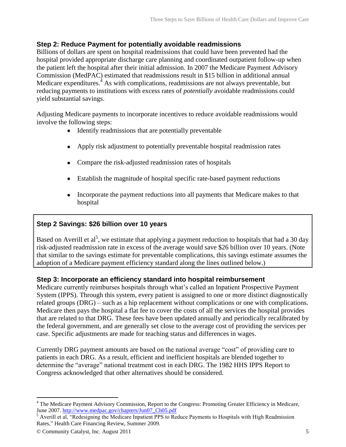#### **Step 2: Reduce Payment for potentially avoidable readmissions**

Billions of dollars are spent on hospital readmissions that could have been prevented had the hospital provided appropriate discharge care planning and coordinated outpatient follow-up when the patient left the hospital after their initial admission. In 2007 the Medicare Payment Advisory Commission (MedPAC) estimated that readmissions result in \$15 billion in additional annual Medicare expenditures.<sup>4</sup> As with complications, readmissions are not always preventable, but reducing payments to institutions with excess rates of *potentially* avoidable readmissions could yield substantial savings.

Adjusting Medicare payments to incorporate incentives to reduce avoidable readmissions would involve the following steps:

- Identify readmissions that are potentially preventable
- Apply risk adjustment to potentially preventable hospital readmission rates
- Compare the risk-adjusted readmission rates of hospitals
- Establish the magnitude of hospital specific rate-based payment reductions
- Incorporate the payment reductions into all payments that Medicare makes to that hospital

#### **Step 2 Savings: \$26 billion over 10 years**

Based on Averill et al<sup>5</sup>, we estimate that applying a payment reduction to hospitals that had a 30 day risk-adjusted readmission rate in excess of the average would save \$26 billion over 10 years. (Note that similar to the savings estimate for preventable complications, this savings estimate assumes the adoption of a Medicare payment efficiency standard along the lines outlined below.)

#### **Step 3: Incorporate an efficiency standard into hospital reimbursement**

Medicare currently reimburses hospitals through what's called an Inpatient Prospective Payment System (IPPS). Through this system, every patient is assigned to one or more distinct diagnostically related groups (DRG) – such as a hip replacement without complications or one with complications. Medicare then pays the hospital a flat fee to cover the costs of all the services the hospital provides that are related to that DRG. These fees have been updated annually and periodically recalibrated by the federal government, and are generally set close to the average cost of providing the services per case. Specific adjustments are made for teaching status and differences in wages.

Currently DRG payment amounts are based on the national average "cost" of providing care to patients in each DRG. As a result, efficient and inefficient hospitals are blended together to determine the "average" national treatment cost in each DRG. The 1982 HHS IPPS Report to Congress acknowledged that other alternatives should be considered.

<sup>&</sup>lt;sup>4</sup> The Medicare Payment Advisory Commission, Report to the Congress: Promoting Greater Efficiency in Medicare, June 2007[. http://www.medpac.gov/chapters/Jun07\\_Ch05.pdf](http://www.medpac.gov/chapters/Jun07_Ch05.pdf)

 $<sup>5</sup>$  Averill et al, "Redesigning the Medicare Inpatient PPS to Reduce Payments to Hospitals with High Readmission</sup> Rates," Health Care Financing Review, Summer 2009.

<sup>©</sup> Community Catalyst, Inc. August 2011 5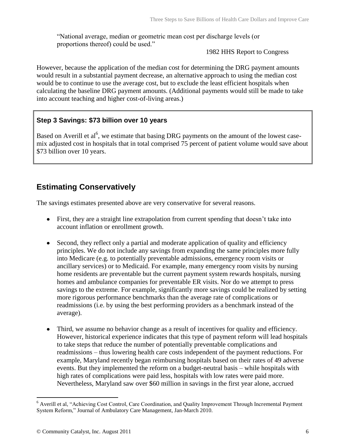"National average, median or geometric mean cost per discharge levels (or proportions thereof) could be used."

#### 1982 HHS Report to Congress

However, because the application of the median cost for determining the DRG payment amounts would result in a substantial payment decrease, an alternative approach to using the median cost would be to continue to use the average cost, but to exclude the least efficient hospitals when calculating the baseline DRG payment amounts. (Additional payments would still be made to take into account teaching and higher cost-of-living areas.)

#### **Step 3 Savings: \$73 billion over 10 years**

Based on Averill et al<sup>6</sup>, we estimate that basing DRG payments on the amount of the lowest casemix adjusted cost in hospitals that in total comprised 75 percent of patient volume would save about \$73 billion over 10 years.

# **Estimating Conservatively**

The savings estimates presented above are very conservative for several reasons.

- First, they are a straight line extrapolation from current spending that doesn't take into account inflation or enrollment growth.
- Second, they reflect only a partial and moderate application of quality and efficiency  $\bullet$ principles. We do not include any savings from expanding the same principles more fully into Medicare (e.g. to potentially preventable admissions, emergency room visits or ancillary services) or to Medicaid. For example, many emergency room visits by nursing home residents are preventable but the current payment system rewards hospitals, nursing homes and ambulance companies for preventable ER visits. Nor do we attempt to press savings to the extreme. For example, significantly more savings could be realized by setting more rigorous performance benchmarks than the average rate of complications or readmissions (i.e. by using the best performing providers as a benchmark instead of the average).
- Third, we assume no behavior change as a result of incentives for quality and efficiency. However, historical experience indicates that this type of payment reform will lead hospitals to take steps that reduce the number of potentially preventable complications and readmissions – thus lowering health care costs independent of the payment reductions. For example, Maryland recently began reimbursing hospitals based on their rates of 49 adverse events. But they implemented the reform on a budget-neutral basis – while hospitals with high rates of complications were paid less, hospitals with low rates were paid more. Nevertheless, Maryland saw over \$60 million in savings in the first year alone, accrued

<sup>&</sup>lt;sup>6</sup> Averill et al, "Achieving Cost Control, Care Coordination, and Quality Improvement Through Incremental Payment System Reform," Journal of Ambulatory Care Management, Jan-March 2010.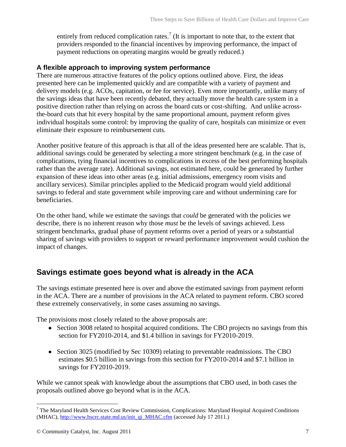entirely from reduced complication rates.<sup>7</sup> (It is important to note that, to the extent that providers responded to the financial incentives by improving performance, the impact of payment reductions on operating margins would be greatly reduced.)

#### **A flexible approach to improving system performance**

There are numerous attractive features of the policy options outlined above. First, the ideas presented here can be implemented quickly and are compatible with a variety of payment and delivery models (e.g. ACOs, capitation, or fee for service). Even more importantly, unlike many of the savings ideas that have been recently debated, they actually move the health care system in a positive direction rather than relying on across the board cuts or cost-shifting. And unlike acrossthe-board cuts that hit every hospital by the same proportional amount, payment reform gives individual hospitals some control: by improving the quality of care, hospitals can minimize or even eliminate their exposure to reimbursement cuts.

Another positive feature of this approach is that all of the ideas presented here are scalable. That is, additional savings could be generated by selecting a more stringent benchmark (e.g. in the case of complications, tying financial incentives to complications in excess of the best performing hospitals rather than the average rate). Additional savings, not estimated here, could be generated by further expansion of these ideas into other areas (e.g. initial admissions, emergency room visits and ancillary services). Similar principles applied to the Medicaid program would yield additional savings to federal and state government while improving care and without undermining care for beneficiaries.

On the other hand, while we estimate the savings that *could* be generated with the policies we describe, there is no inherent reason why those *must* be the levels of savings achieved. Less stringent benchmarks, gradual phase of payment reforms over a period of years or a substantial sharing of savings with providers to support or reward performance improvement would cushion the impact of changes.

# **Savings estimate goes beyond what is already in the ACA**

The savings estimate presented here is over and above the estimated savings from payment reform in the ACA. There are a number of provisions in the ACA related to payment reform. CBO scored these extremely conservatively, in some cases assuming no savings.

The provisions most closely related to the above proposals are:

- Section 3008 related to hospital acquired conditions. The CBO projects no savings from this section for FY2010-2014, and \$1.4 billion in savings for FY2010-2019.
- Section 3025 (modified by Sec 10309) relating to preventable readmissions. The CBO estimates \$0.5 billion in savings from this section for FY2010-2014 and \$7.1 billion in savings for FY2010-2019.

While we cannot speak with knowledge about the assumptions that CBO used, in both cases the proposals outlined above go beyond what is in the ACA.

 $7$  The Maryland Health Services Cost Review Commission, Complications: Maryland Hospital Acquired Conditions (MHAC), [http://www.hscrc.state.md.us/init\\_qi\\_MHAC.cfm](http://www.hscrc.state.md.us/init_qi_MHAC.cfm) (accessed July 17 2011.)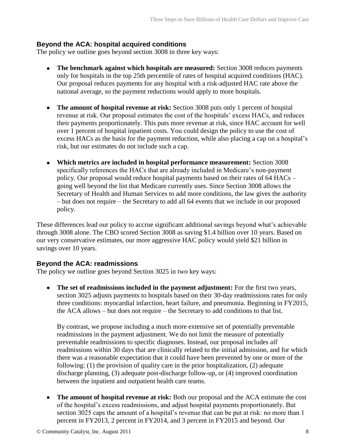#### **Beyond the ACA: hospital acquired conditions**

The policy we outline goes beyond section 3008 in three key ways:

- **The benchmark against which hospitals are measured:** Section 3008 reduces payments only for hospitals in the top 25th percentile of rates of hospital acquired conditions (HAC). Our proposal reduces payments for any hospital with a risk-adjusted HAC rate above the national average, so the payment reductions would apply to more hospitals.
- **The amount of hospital revenue at risk:** Section 3008 puts only 1 percent of hospital revenue at risk. Our proposal estimates the cost of the hospitals' excess HACs, and reduces their payments proportionately. This puts more revenue at risk, since HAC account for well over 1 percent of hospital inpatient costs. You could design the policy to use the cost of excess HACs as the basis for the payment reduction, while also placing a cap on a hospital's risk, but our estimates do not include such a cap.
- **Which metrics are included in hospital performance measurement:** Section 3008 specifically references the HACs that are already included in Medicare's non-payment policy. Our proposal would reduce hospital payments based on their rates of 64 HACs – going well beyond the list that Medicare currently uses. Since Section 3008 allows the Secretary of Health and Human Services to add more conditions, the law gives the authority – but does not require – the Secretary to add all 64 events that we include in our proposed policy.

These differences lead our policy to accrue significant additional savings beyond what's achievable through 3008 alone. The CBO scored Section 3008 as saving \$1.4 billion over 10 years. Based on our very conservative estimates, our more aggressive HAC policy would yield \$21 billion in savings over 10 years.

#### **Beyond the ACA: readmissions**

The policy we outline goes beyond Section 3025 in two key ways:

**The set of readmissions included in the payment adjustment:** For the first two years, section 3025 adjusts payments to hospitals based on their 30-day readmissions rates for only three conditions: myocardial infarction, heart failure, and pneumonia. Beginning in FY2015, the ACA allows – but does not require – the Secretary to add conditions to that list.

By contrast, we propose including a much more extensive set of potentially preventable readmissions in the payment adjustment. We do not limit the measure of potentially preventable readmissions to specific diagnoses. Instead, our proposal includes *all* readmissions within 30 days that are clinically related to the initial admission, and for which there was a reasonable expectation that it could have been prevented by one or more of the following: (1) the provision of quality care in the prior hospitalization, (2) adequate discharge planning, (3) adequate post-discharge follow-up, or (4) improved coordination between the inpatient and outpatient health care teams.

**The amount of hospital revenue at risk:** Both our proposal and the ACA estimate the cost of the hospital's excess readmissions, and adjust hospital payments proportionately. But section 3025 caps the amount of a hospital's revenue that can be put at risk: no more than 1 percent in FY2013, 2 percent in FY2014, and 3 percent in FY2015 and beyond. Our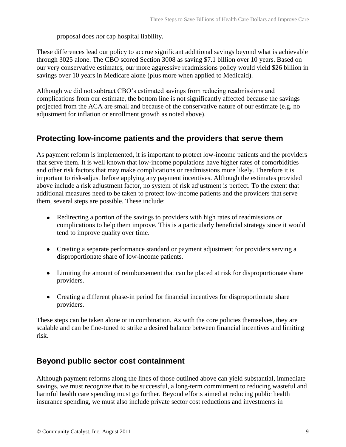proposal does *not* cap hospital liability.

These differences lead our policy to accrue significant additional savings beyond what is achievable through 3025 alone. The CBO scored Section 3008 as saving \$7.1 billion over 10 years. Based on our very conservative estimates, our more aggressive readmissions policy would yield \$26 billion in savings over 10 years in Medicare alone (plus more when applied to Medicaid).

Although we did not subtract CBO's estimated savings from reducing readmissions and complications from our estimate, the bottom line is not significantly affected because the savings projected from the ACA are small and because of the conservative nature of our estimate (e.g. no adjustment for inflation or enrollment growth as noted above).

### **Protecting low-income patients and the providers that serve them**

As payment reform is implemented, it is important to protect low-income patients and the providers that serve them. It is well known that low-income populations have higher rates of comorbidities and other risk factors that may make complications or readmissions more likely. Therefore it is important to risk-adjust before applying any payment incentives. Although the estimates provided above include a risk adjustment factor, no system of risk adjustment is perfect. To the extent that additional measures need to be taken to protect low-income patients and the providers that serve them, several steps are possible. These include:

- Redirecting a portion of the savings to providers with high rates of readmissions or complications to help them improve. This is a particularly beneficial strategy since it would tend to improve quality over time.
- Creating a separate performance standard or payment adjustment for providers serving a disproportionate share of low-income patients.
- Limiting the amount of reimbursement that can be placed at risk for disproportionate share providers.
- Creating a different phase-in period for financial incentives for disproportionate share providers.

These steps can be taken alone or in combination. As with the core policies themselves, they are scalable and can be fine-tuned to strike a desired balance between financial incentives and limiting risk.

## **Beyond public sector cost containment**

Although payment reforms along the lines of those outlined above can yield substantial, immediate savings, we must recognize that to be successful, a long-term commitment to reducing wasteful and harmful health care spending must go further. Beyond efforts aimed at reducing public health insurance spending, we must also include private sector cost reductions and investments in